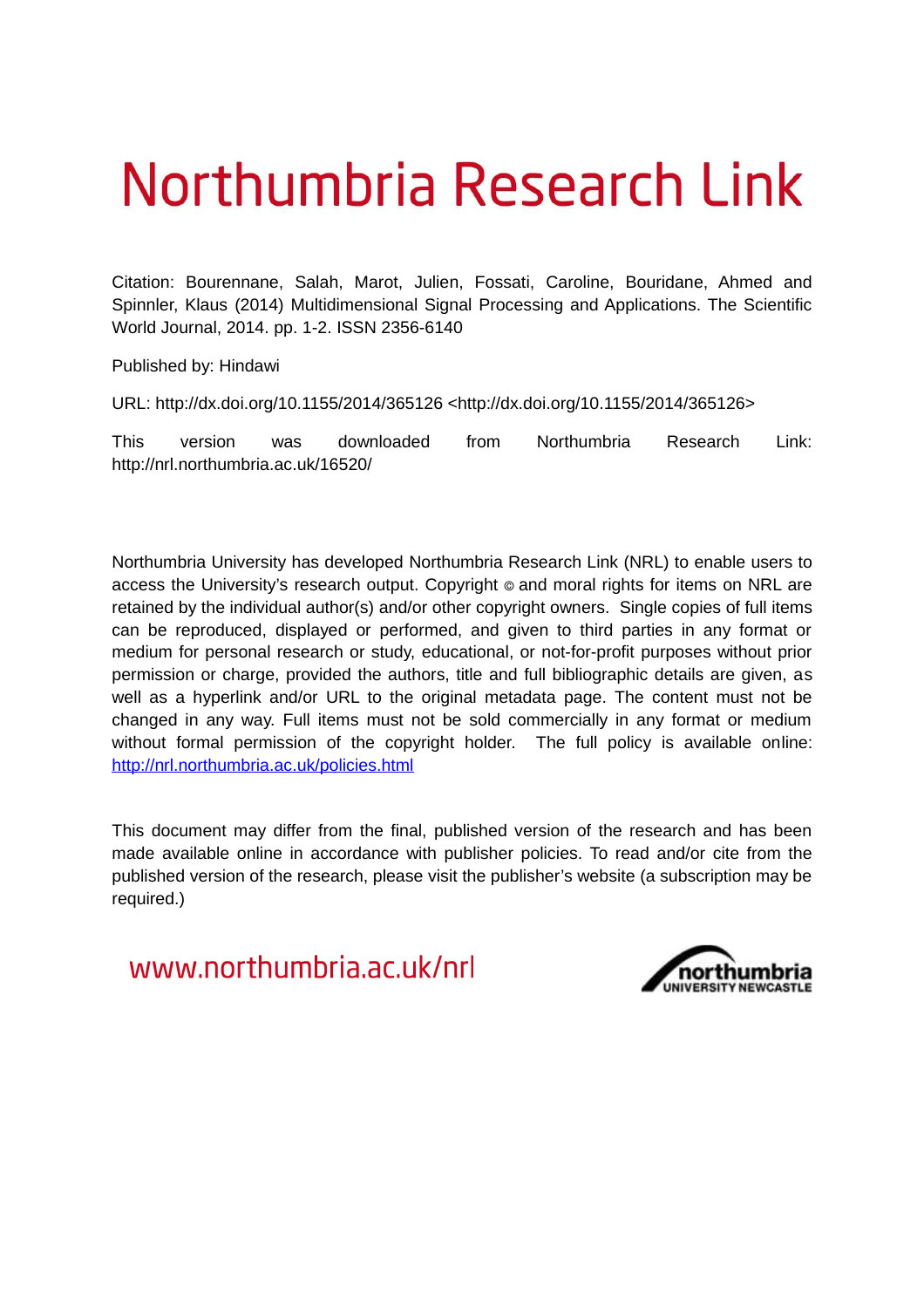## Northumbria Research Link

Citation: Bourennane, Salah, Marot, Julien, Fossati, Caroline, Bouridane, Ahmed and Spinnler, Klaus (2014) Multidimensional Signal Processing and Applications. The Scientific World Journal, 2014. pp. 1-2. ISSN 2356-6140

Published by: Hindawi

URL: http://dx.doi.org/10.1155/2014/365126 <http://dx.doi.org/10.1155/2014/365126>

This version was downloaded from Northumbria Research Link: http://nrl.northumbria.ac.uk/16520/

Northumbria University has developed Northumbria Research Link (NRL) to enable users to access the University's research output. Copyright  $\circ$  and moral rights for items on NRL are retained by the individual author(s) and/or other copyright owners. Single copies of full items can be reproduced, displayed or performed, and given to third parties in any format or medium for personal research or study, educational, or not-for-profit purposes without prior permission or charge, provided the authors, title and full bibliographic details are given, as well as a hyperlink and/or URL to the original metadata page. The content must not be changed in any way. Full items must not be sold commercially in any format or medium without formal permission of the copyright holder. The full policy is available online: <http://nrl.northumbria.ac.uk/policies.html>

This document may differ from the final, published version of the research and has been made available online in accordance with publisher policies. To read and/or cite from the published version of the research, please visit the publisher's website (a subscription may be required.)

www.northumbria.ac.uk/nrl

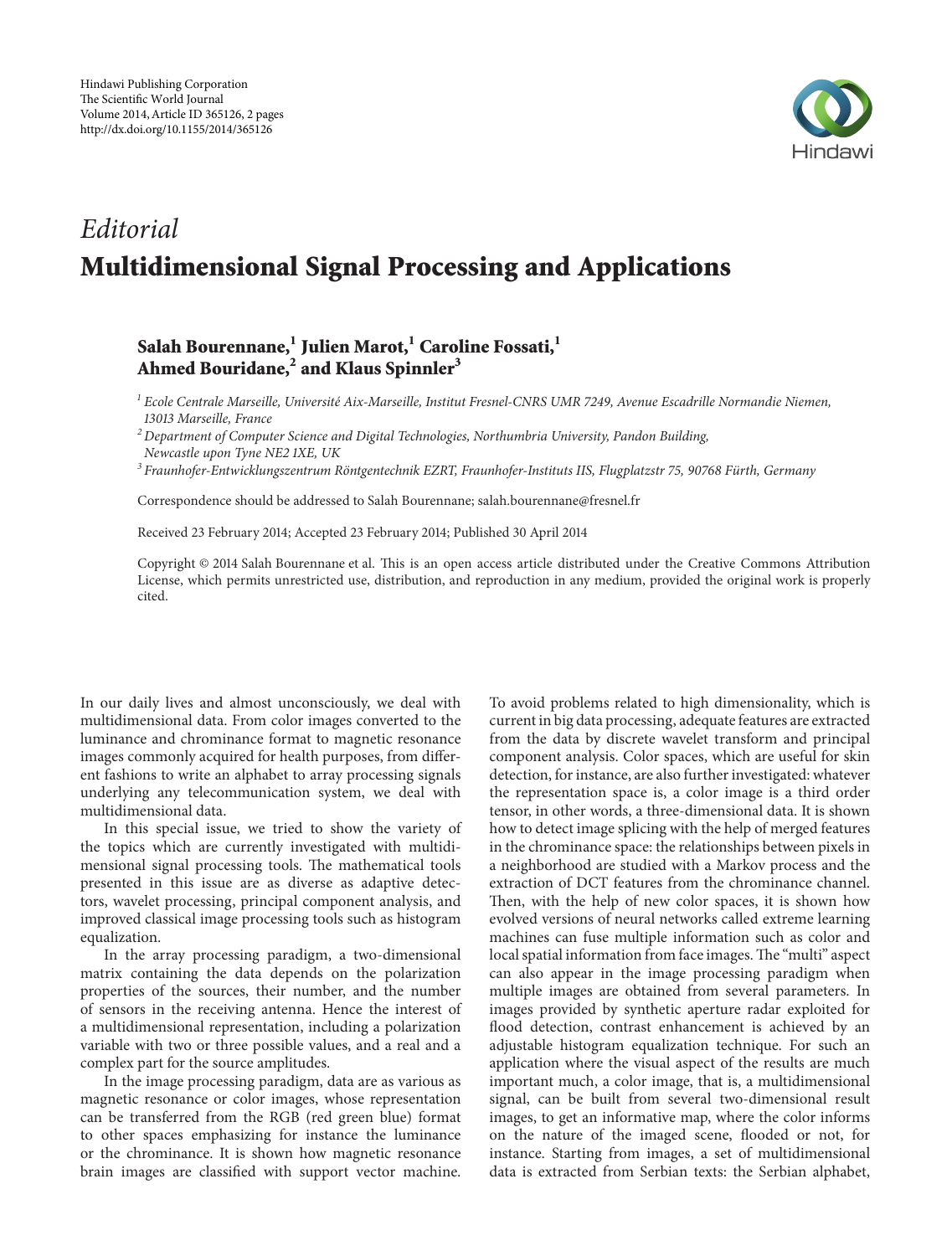

## Editorial Multidimensional Signal Processing and Applications

## Salah Bourennane, $^{\rm l}$  Julien Marot, $^{\rm l}$  Caroline Fossati, $^{\rm l}$ Ahmed Bouridane,<sup>2</sup> and Klaus Spinnler<sup>3</sup>

 $^{\rm I}$  Ecole Centrale Marseille, Université Aix-Marseille, Institut Fresnel-CNRS UMR 7249, Avenue Escadrille Normandie Niemen, 13013 Marseille, France

 $2$  Department of Computer Science and Digital Technologies, Northumbria University, Pandon Building,

 $^3$ Fraunhofer-Entwicklungszentrum Röntgentechnik EZRT, Fraunhofer-Instituts IIS, Flugplatzstr 75, 90768 Fürth, Germany

Correspondence should be addressed to Salah Bourennane; salah.bourennane@fresnel.fr

Received 23 February 2014; Accepted 23 February 2014; Published 30 April 2014

Copyright © 2014 Salah Bourennane et al. his is an open access article distributed under the Creative Commons Attribution License, which permits unrestricted use, distribution, and reproduction in any medium, provided the original work is properly cited.

In our daily lives and almost unconsciously, we deal with multidimensional data. From color images converted to the luminance and chrominance format to magnetic resonance images commonly acquired for health purposes, from diferent fashions to write an alphabet to array processing signals underlying any telecommunication system, we deal with multidimensional data.

In this special issue, we tried to show the variety of the topics which are currently investigated with multidimensional signal processing tools. The mathematical tools presented in this issue are as diverse as adaptive detectors, wavelet processing, principal component analysis, and improved classical image processing tools such as histogram equalization.

In the array processing paradigm, a two-dimensional matrix containing the data depends on the polarization properties of the sources, their number, and the number of sensors in the receiving antenna. Hence the interest of a multidimensional representation, including a polarization variable with two or three possible values, and a real and a complex part for the source amplitudes.

In the image processing paradigm, data are as various as magnetic resonance or color images, whose representation can be transferred from the RGB (red green blue) format to other spaces emphasizing for instance the luminance or the chrominance. It is shown how magnetic resonance brain images are classified with support vector machine.

To avoid problems related to high dimensionality, which is current in big data processing, adequate features are extracted from the data by discrete wavelet transform and principal component analysis. Color spaces, which are useful for skin detection, for instance, are also further investigated: whatever the representation space is, a color image is a third order tensor, in other words, a three-dimensional data. It is shown how to detect image splicing with the help of merged features in the chrominance space: the relationships between pixels in a neighborhood are studied with a Markov process and the extraction of DCT features from the chrominance channel. Then, with the help of new color spaces, it is shown how evolved versions of neural networks called extreme learning machines can fuse multiple information such as color and local spatial information from face images. The "multi" aspect can also appear in the image processing paradigm when multiple images are obtained from several parameters. In images provided by synthetic aperture radar exploited for flood detection, contrast enhancement is achieved by an adjustable histogram equalization technique. For such an application where the visual aspect of the results are much important much, a color image, that is, a multidimensional signal, can be built from several two-dimensional result images, to get an informative map, where the color informs on the nature of the imaged scene, flooded or not, for instance. Starting from images, a set of multidimensional data is extracted from Serbian texts: the Serbian alphabet,

Newcastle upon Tyne NE2 1XE, UK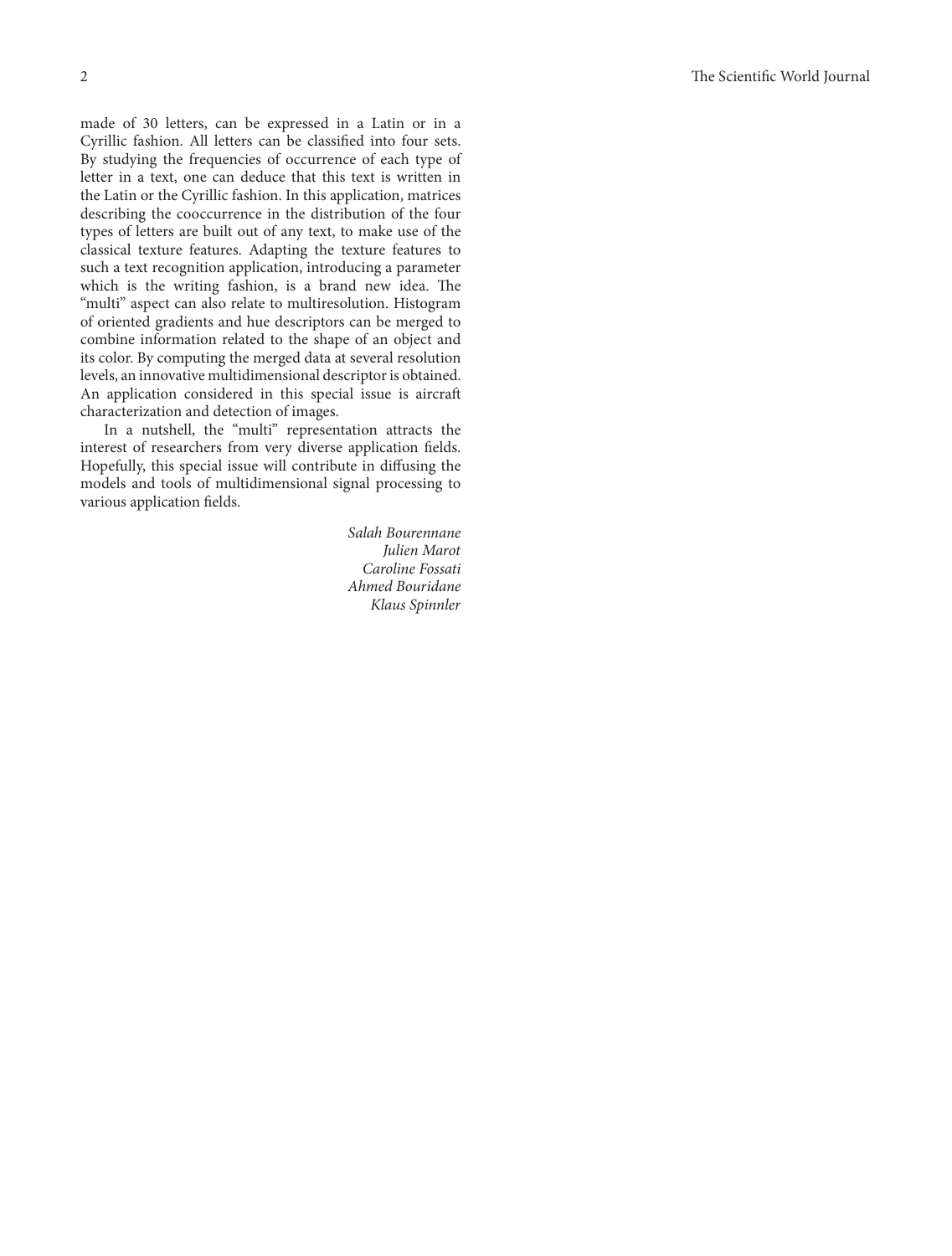made of 30 letters, can be expressed in a Latin or in a Cyrillic fashion. All letters can be classified into four sets. By studying the frequencies of occurrence of each type of letter in a text, one can deduce that this text is written in the Latin or the Cyrillic fashion. In this application, matrices describing the cooccurrence in the distribution of the four types of letters are built out of any text, to make use of the classical texture features. Adapting the texture features to such a text recognition application, introducing a parameter which is the writing fashion, is a brand new idea. The "multi" aspect can also relate to multiresolution. Histogram of oriented gradients and hue descriptors can be merged to combine information related to the shape of an object and its color. By computing the merged data at several resolution levels, an innovative multidimensional descriptor is obtained. An application considered in this special issue is aircrat characterization and detection of images.

In a nutshell, the "multi" representation attracts the interest of researchers from very diverse application fields. Hopefully, this special issue will contribute in difusing the models and tools of multidimensional signal processing to various application fields.

> Salah Bourennane Julien Marot Caroline Fossati Ahmed Bouridane Klaus Spinnler